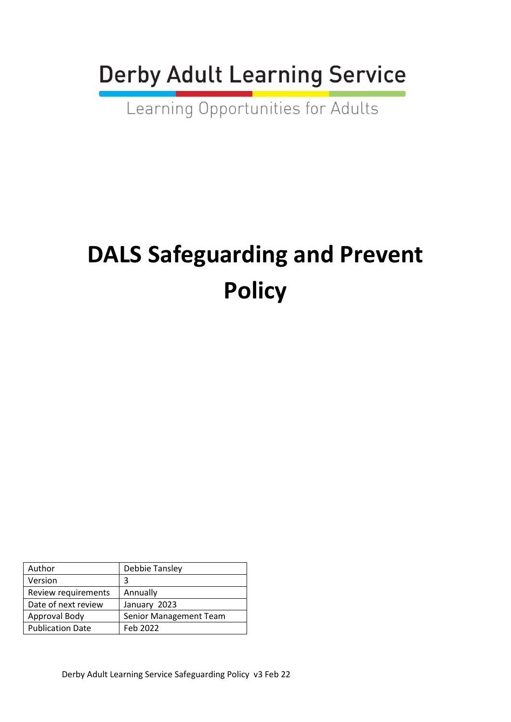**Derby Adult Learning Service** 

Learning Opportunities for Adults

# **DALS Safeguarding and Prevent Policy**

| Author                  | Debbie Tansley                |
|-------------------------|-------------------------------|
| Version                 | 3                             |
| Review requirements     | Annually                      |
| Date of next review     | January 2023                  |
| Approval Body           | <b>Senior Management Team</b> |
| <b>Publication Date</b> | Feb 2022                      |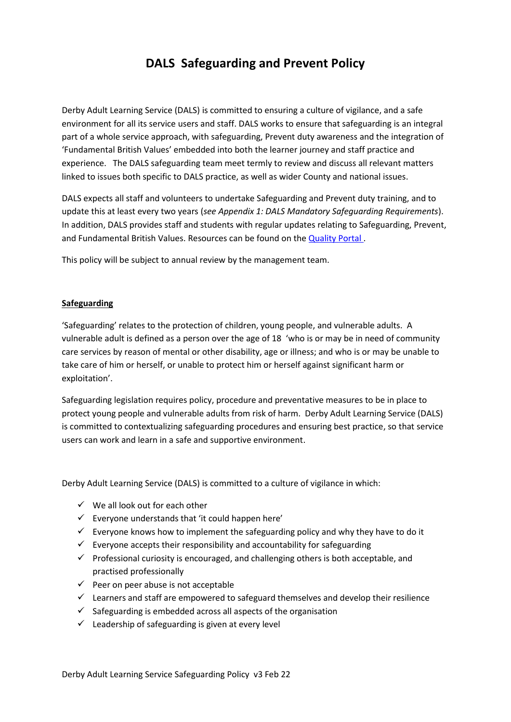## **DALS Safeguarding and Prevent Policy**

Derby Adult Learning Service (DALS) is committed to ensuring a culture of vigilance, and a safe environment for all its service users and staff. DALS works to ensure that safeguarding is an integral part of a whole service approach, with safeguarding, Prevent duty awareness and the integration of 'Fundamental British Values' embedded into both the learner journey and staff practice and experience. The DALS safeguarding team meet termly to review and discuss all relevant matters linked to issues both specific to DALS practice, as well as wider County and national issues.

DALS expects all staff and volunteers to undertake Safeguarding and Prevent duty training, and to update this at least every two years (*see Appendix 1: DALS Mandatory Safeguarding Requirements*). In addition, DALS provides staff and students with regular updates relating to Safeguarding, Prevent, and Fundamental British Values. Resources can be found on the [Quality Portal .](https://en-gb.padlet.com/DALS_Quality/wiu4gwn1v9w7)

This policy will be subject to annual review by the management team.

#### **Safeguarding**

'Safeguarding' relates to the protection of children, young people, and vulnerable adults. A vulnerable adult is defined as a person over the age of 18 'who is or may be in need of community care services by reason of mental or other disability, age or illness; and who is or may be unable to take care of him or herself, or unable to protect him or herself against significant harm or exploitation'.

Safeguarding legislation requires policy, procedure and preventative measures to be in place to protect young people and vulnerable adults from risk of harm. Derby Adult Learning Service (DALS) is committed to contextualizing safeguarding procedures and ensuring best practice, so that service users can work and learn in a safe and supportive environment.

Derby Adult Learning Service (DALS) is committed to a culture of vigilance in which:

- $\checkmark$  We all look out for each other
- $\checkmark$  Everyone understands that 'it could happen here'
- $\checkmark$  Everyone knows how to implement the safeguarding policy and why they have to do it
- $\checkmark$  Everyone accepts their responsibility and accountability for safeguarding
- $\checkmark$  Professional curiosity is encouraged, and challenging others is both acceptable, and practised professionally
- $\checkmark$  Peer on peer abuse is not acceptable
- $\checkmark$  Learners and staff are empowered to safeguard themselves and develop their resilience
- $\checkmark$  Safeguarding is embedded across all aspects of the organisation
- $\checkmark$  Leadership of safeguarding is given at every level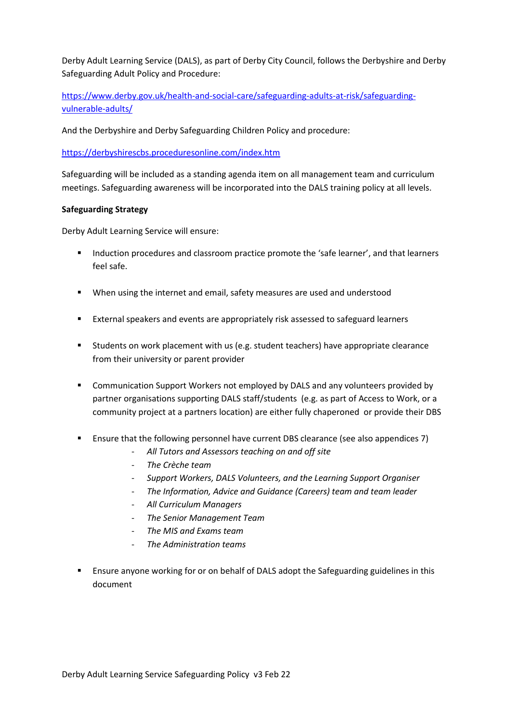Derby Adult Learning Service (DALS), as part of Derby City Council, follows the Derbyshire and Derby Safeguarding Adult Policy and Procedure:

[https://www.derby.gov.uk/health-and-social-care/safeguarding-adults-at-risk/safeguarding](https://www.derby.gov.uk/health-and-social-care/safeguarding-adults-at-risk/safeguarding-vulnerable-adults/)[vulnerable-adults/](https://www.derby.gov.uk/health-and-social-care/safeguarding-adults-at-risk/safeguarding-vulnerable-adults/) 

And the Derbyshire and Derby Safeguarding Children Policy and procedure:

<https://derbyshirescbs.proceduresonline.com/index.htm>

Safeguarding will be included as a standing agenda item on all management team and curriculum meetings. Safeguarding awareness will be incorporated into the DALS training policy at all levels.

#### **Safeguarding Strategy**

Derby Adult Learning Service will ensure:

- Induction procedures and classroom practice promote the 'safe learner', and that learners feel safe.
- When using the internet and email, safety measures are used and understood
- External speakers and events are appropriately risk assessed to safeguard learners
- Students on work placement with us (e.g. student teachers) have appropriate clearance from their university or parent provider
- **E** Communication Support Workers not employed by DALS and any volunteers provided by partner organisations supporting DALS staff/students (e.g. as part of Access to Work, or a community project at a partners location) are either fully chaperoned or provide their DBS
- Ensure that the following personnel have current DBS clearance (see also appendices 7)
	- *All Tutors and Assessors teaching on and off site*
	- *The Crèche team*
	- *Support Workers, DALS Volunteers, and the Learning Support Organiser*
	- *The Information, Advice and Guidance (Careers) team and team leader*
	- *All Curriculum Managers*
	- *The Senior Management Team*
	- *The MIS and Exams team*
	- *The Administration teams*
- **E** Ensure anyone working for or on behalf of DALS adopt the Safeguarding guidelines in this document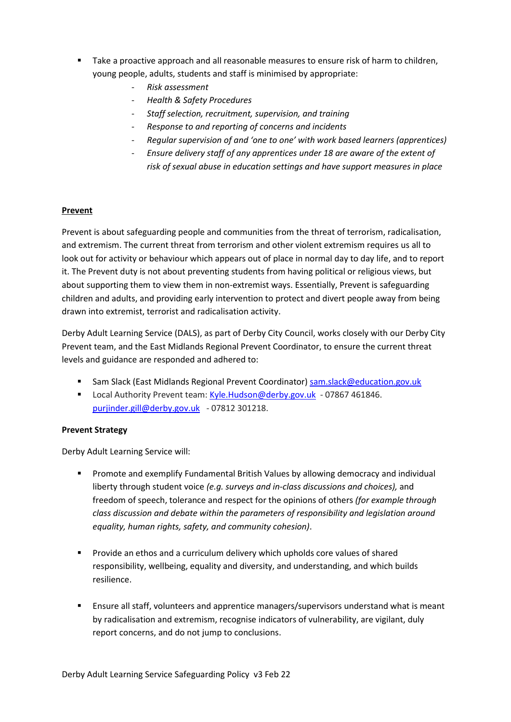- Take a proactive approach and all reasonable measures to ensure risk of harm to children, young people, adults, students and staff is minimised by appropriate:
	- *Risk assessment*
	- *Health & Safety Procedures*
	- *Staff selection, recruitment, supervision, and training*
	- *Response to and reporting of concerns and incidents*
	- *Regular supervision of and 'one to one' with work based learners (apprentices)*
	- *Ensure delivery staff of any apprentices under 18 are aware of the extent of risk of sexual abuse in education settings and have support measures in place*

#### **Prevent**

Prevent is about safeguarding people and communities from the threat of terrorism, radicalisation, and extremism. The current threat from terrorism and other violent extremism requires us all to look out for activity or behaviour which appears out of place in normal day to day life, and to report it. The Prevent duty is not about preventing students from having political or religious views, but about supporting them to view them in non-extremist ways. Essentially, Prevent is safeguarding children and adults, and providing early intervention to protect and divert people away from being drawn into extremist, terrorist and radicalisation activity.

Derby Adult Learning Service (DALS), as part of Derby City Council, works closely with our Derby City Prevent team, and the East Midlands Regional Prevent Coordinator, to ensure the current threat levels and guidance are responded and adhered to:

- Sam Slack (East Midlands Regional Prevent Coordinator) [sam.slack@education.gov.uk](mailto:sam.slack@education.gov.uk)
- Local Authority Prevent team: [Kyle.Hudson@derby.gov.uk](mailto:Kyle.Hudson@derby.gov.uk)  07867 461846. [purjinder.gill@derby.gov.uk](mailto:purjinder.gill@derby.gov.uk) - 07812 301218.

#### **Prevent Strategy**

Derby Adult Learning Service will:

- **•** Promote and exemplify Fundamental British Values by allowing democracy and individual liberty through student voice *(e.g. surveys and in-class discussions and choices),* and freedom of speech, tolerance and respect for the opinions of others *(for example through class discussion and debate within the parameters of responsibility and legislation around equality, human rights, safety, and community cohesion)*.
- Provide an ethos and a curriculum delivery which upholds core values of shared responsibility, wellbeing, equality and diversity, and understanding, and which builds resilience.
- Ensure all staff, volunteers and apprentice managers/supervisors understand what is meant by radicalisation and extremism, recognise indicators of vulnerability, are vigilant, duly report concerns, and do not jump to conclusions.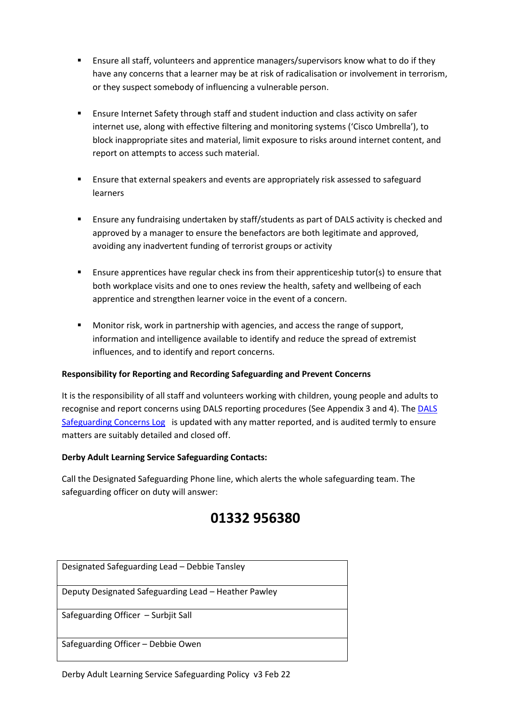- Ensure all staff, volunteers and apprentice managers/supervisors know what to do if they have any concerns that a learner may be at risk of radicalisation or involvement in terrorism, or they suspect somebody of influencing a vulnerable person.
- Ensure Internet Safety through staff and student induction and class activity on safer internet use, along with effective filtering and monitoring systems ('Cisco Umbrella'), to block inappropriate sites and material, limit exposure to risks around internet content, and report on attempts to access such material.
- Ensure that external speakers and events are appropriately risk assessed to safeguard learners
- Ensure any fundraising undertaken by staff/students as part of DALS activity is checked and approved by a manager to ensure the benefactors are both legitimate and approved, avoiding any inadvertent funding of terrorist groups or activity
- **E** Ensure apprentices have regular check ins from their apprenticeship tutor(s) to ensure that both workplace visits and one to ones review the health, safety and wellbeing of each apprentice and strengthen learner voice in the event of a concern.
- Monitor risk, work in partnership with agencies, and access the range of support, information and intelligence available to identify and reduce the spread of extremist influences, and to identify and report concerns.

#### **Responsibility for Reporting and Recording Safeguarding and Prevent Concerns**

It is the responsibility of all staff and volunteers working with children, young people and adults to recognise and report concerns using DALS reporting procedures (See Appendix 3 and 4). Th[e DALS](http://dcc-otcs/otcs/cs.exe/link/150632464)  [Safeguarding Concerns Log](http://dcc-otcs/otcs/cs.exe/link/150632464) is updated with any matter reported, and is audited termly to ensure matters are suitably detailed and closed off.

#### **Derby Adult Learning Service Safeguarding Contacts:**

Call the Designated Safeguarding Phone line, which alerts the whole safeguarding team. The safeguarding officer on duty will answer:

## **01332 956380**

| Designated Safeguarding Lead - Debbie Tansley        |
|------------------------------------------------------|
| Deputy Designated Safeguarding Lead - Heather Pawley |
| Safeguarding Officer - Surbjit Sall                  |
| Safeguarding Officer - Debbie Owen                   |

Derby Adult Learning Service Safeguarding Policy v3 Feb 22